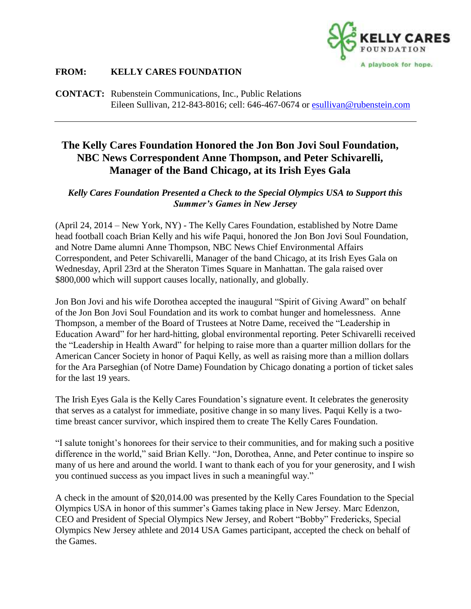

## **FROM: KELLY CARES FOUNDATION**

**CONTACT:** Rubenstein Communications, Inc., Public Relations Eileen Sullivan, 212-843-8016; cell: 646-467-0674 or [esullivan@rubenstein.com](mailto:esullivan@rubenstein.com)

## **The Kelly Cares Foundation Honored the Jon Bon Jovi Soul Foundation, NBC News Correspondent Anne Thompson, and Peter Schivarelli, Manager of the Band Chicago, at its Irish Eyes Gala**

## *Kelly Cares Foundation Presented a Check to the Special Olympics USA to Support this Summer's Games in New Jersey*

(April 24, 2014 – New York, NY) - The Kelly Cares Foundation, established by Notre Dame head football coach Brian Kelly and his wife Paqui, honored the Jon Bon Jovi Soul Foundation, and Notre Dame alumni Anne Thompson, NBC News Chief Environmental Affairs Correspondent, and Peter Schivarelli, Manager of the band Chicago, at its Irish Eyes Gala on Wednesday, April 23rd at the Sheraton Times Square in Manhattan. The gala raised over \$800,000 which will support causes locally, nationally, and globally.

Jon Bon Jovi and his wife Dorothea accepted the inaugural "Spirit of Giving Award" on behalf of the Jon Bon Jovi Soul Foundation and its work to combat hunger and homelessness. Anne Thompson, a member of the Board of Trustees at Notre Dame, received the "Leadership in Education Award" for her hard-hitting, global environmental reporting. Peter Schivarelli received the "Leadership in Health Award" for helping to raise more than a quarter million dollars for the American Cancer Society in honor of Paqui Kelly, as well as raising more than a million dollars for the Ara Parseghian (of Notre Dame) Foundation by Chicago donating a portion of ticket sales for the last 19 years.

The Irish Eyes Gala is the Kelly Cares Foundation's signature event. It celebrates the generosity that serves as a catalyst for immediate, positive change in so many lives. Paqui Kelly is a twotime breast cancer survivor, which inspired them to create The Kelly Cares Foundation.

"I salute tonight's honorees for their service to their communities, and for making such a positive difference in the world," said Brian Kelly. "Jon, Dorothea, Anne, and Peter continue to inspire so many of us here and around the world. I want to thank each of you for your generosity, and I wish you continued success as you impact lives in such a meaningful way."

A check in the amount of \$20,014.00 was presented by the Kelly Cares Foundation to the Special Olympics USA in honor of this summer's Games taking place in New Jersey. Marc Edenzon, CEO and President of Special Olympics New Jersey, and Robert "Bobby" Fredericks, Special Olympics New Jersey athlete and 2014 USA Games participant, accepted the check on behalf of the Games.